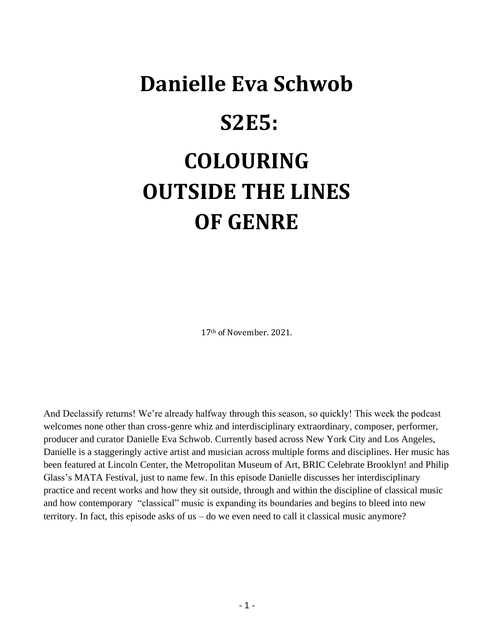# **Danielle Eva Schwob S2E5: COLOURING OUTSIDE THE LINES OF GENRE**

17th of November. 2021.

And Declassify returns! We're already halfway through this season, so quickly! This week the podcast welcomes none other than cross-genre whiz and interdisciplinary extraordinary, composer, performer, producer and curator Danielle Eva Schwob. Currently based across New York City and Los Angeles, Danielle is a staggeringly active artist and musician across multiple forms and disciplines. Her music has been featured at Lincoln Center, the Metropolitan Museum of Art, BRIC Celebrate Brooklyn! and Philip Glass's MATA Festival, just to name few. In this episode Danielle discusses her interdisciplinary practice and recent works and how they sit outside, through and within the discipline of classical music and how contemporary "classical" music is expanding its boundaries and begins to bleed into new territory. In fact, this episode asks of us – do we even need to call it classical music anymore?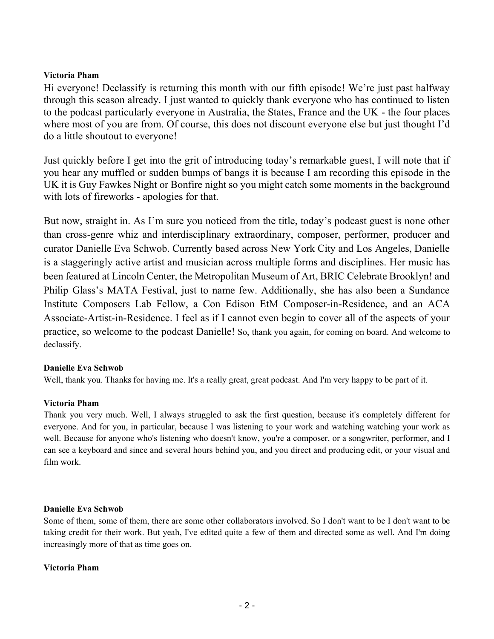# **Victoria Pham**

Hi everyone! Declassify is returning this month with our fifth episode! We're just past halfway through this season already. I just wanted to quickly thank everyone who has continued to listen to the podcast particularly everyone in Australia, the States, France and the UK - the four places where most of you are from. Of course, this does not discount everyone else but just thought I'd do a little shoutout to everyone!

Just quickly before I get into the grit of introducing today's remarkable guest, I will note that if you hear any muffled or sudden bumps of bangs it is because I am recording this episode in the UK it is Guy Fawkes Night or Bonfire night so you might catch some moments in the background with lots of fireworks - apologies for that.

But now, straight in. As I'm sure you noticed from the title, today's podcast guest is none other than cross-genre whiz and interdisciplinary extraordinary, composer, performer, producer and curator Danielle Eva Schwob. Currently based across New York City and Los Angeles, Danielle is a staggeringly active artist and musician across multiple forms and disciplines. Her music has been featured at Lincoln Center, the Metropolitan Museum of Art, BRIC Celebrate Brooklyn! and Philip Glass's MATA Festival, just to name few. Additionally, she has also been a Sundance Institute Composers Lab Fellow, a Con Edison EtM Composer-in-Residence, and an ACA Associate-Artist-in-Residence. I feel as if I cannot even begin to cover all of the aspects of your practice, so welcome to the podcast Danielle! So, thank you again, for coming on board. And welcome to declassify.

#### **Danielle Eva Schwob**

Well, thank you. Thanks for having me. It's a really great, great podcast. And I'm very happy to be part of it.

#### **Victoria Pham**

Thank you very much. Well, I always struggled to ask the first question, because it's completely different for everyone. And for you, in particular, because I was listening to your work and watching watching your work as well. Because for anyone who's listening who doesn't know, you're a composer, or a songwriter, performer, and I can see a keyboard and since and several hours behind you, and you direct and producing edit, or your visual and film work.

#### **Danielle Eva Schwob**

Some of them, some of them, there are some other collaborators involved. So I don't want to be I don't want to be taking credit for their work. But yeah, I've edited quite a few of them and directed some as well. And I'm doing increasingly more of that as time goes on.

#### **Victoria Pham**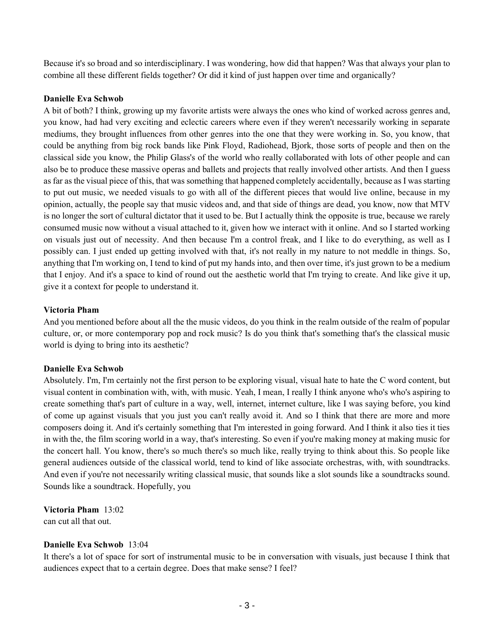Because it's so broad and so interdisciplinary. I was wondering, how did that happen? Was that always your plan to combine all these different fields together? Or did it kind of just happen over time and organically?

#### **Danielle Eva Schwob**

A bit of both? I think, growing up my favorite artists were always the ones who kind of worked across genres and, you know, had had very exciting and eclectic careers where even if they weren't necessarily working in separate mediums, they brought influences from other genres into the one that they were working in. So, you know, that could be anything from big rock bands like Pink Floyd, Radiohead, Bjork, those sorts of people and then on the classical side you know, the Philip Glass's of the world who really collaborated with lots of other people and can also be to produce these massive operas and ballets and projects that really involved other artists. And then I guess as far as the visual piece of this, that was something that happened completely accidentally, because as I was starting to put out music, we needed visuals to go with all of the different pieces that would live online, because in my opinion, actually, the people say that music videos and, and that side of things are dead, you know, now that MTV is no longer the sort of cultural dictator that it used to be. But I actually think the opposite is true, because we rarely consumed music now without a visual attached to it, given how we interact with it online. And so I started working on visuals just out of necessity. And then because I'm a control freak, and I like to do everything, as well as I possibly can. I just ended up getting involved with that, it's not really in my nature to not meddle in things. So, anything that I'm working on, I tend to kind of put my hands into, and then over time, it's just grown to be a medium that I enjoy. And it's a space to kind of round out the aesthetic world that I'm trying to create. And like give it up, give it a context for people to understand it.

#### **Victoria Pham**

And you mentioned before about all the the music videos, do you think in the realm outside of the realm of popular culture, or, or more contemporary pop and rock music? Is do you think that's something that's the classical music world is dying to bring into its aesthetic?

# **Danielle Eva Schwob**

Absolutely. I'm, I'm certainly not the first person to be exploring visual, visual hate to hate the C word content, but visual content in combination with, with, with music. Yeah, I mean, I really I think anyone who's who's aspiring to create something that's part of culture in a way, well, internet, internet culture, like I was saying before, you kind of come up against visuals that you just you can't really avoid it. And so I think that there are more and more composers doing it. And it's certainly something that I'm interested in going forward. And I think it also ties it ties in with the, the film scoring world in a way, that's interesting. So even if you're making money at making music for the concert hall. You know, there's so much there's so much like, really trying to think about this. So people like general audiences outside of the classical world, tend to kind of like associate orchestras, with, with soundtracks. And even if you're not necessarily writing classical music, that sounds like a slot sounds like a soundtracks sound. Sounds like a soundtrack. Hopefully, you

**Victoria Pham** 13:02 can cut all that out.

# **Danielle Eva Schwob** 13:04

It there's a lot of space for sort of instrumental music to be in conversation with visuals, just because I think that audiences expect that to a certain degree. Does that make sense? I feel?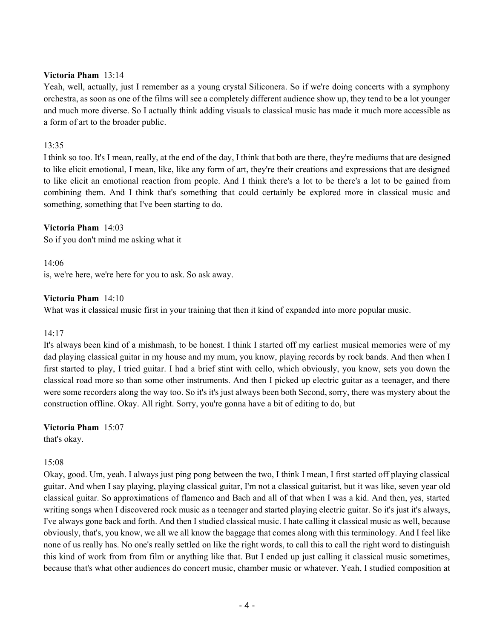#### **Victoria Pham** 13:14

Yeah, well, actually, just I remember as a young crystal Siliconera. So if we're doing concerts with a symphony orchestra, as soon as one of the films will see a completely different audience show up, they tend to be a lot younger and much more diverse. So I actually think adding visuals to classical music has made it much more accessible as a form of art to the broader public.

# 13:35

I think so too. It's I mean, really, at the end of the day, I think that both are there, they're mediums that are designed to like elicit emotional, I mean, like, like any form of art, they're their creations and expressions that are designed to like elicit an emotional reaction from people. And I think there's a lot to be there's a lot to be gained from combining them. And I think that's something that could certainly be explored more in classical music and something, something that I've been starting to do.

#### **Victoria Pham** 14:03

So if you don't mind me asking what it

#### 14:06

is, we're here, we're here for you to ask. So ask away.

#### **Victoria Pham** 14:10

What was it classical music first in your training that then it kind of expanded into more popular music.

#### 14:17

It's always been kind of a mishmash, to be honest. I think I started off my earliest musical memories were of my dad playing classical guitar in my house and my mum, you know, playing records by rock bands. And then when I first started to play, I tried guitar. I had a brief stint with cello, which obviously, you know, sets you down the classical road more so than some other instruments. And then I picked up electric guitar as a teenager, and there were some recorders along the way too. So it's it's just always been both Second, sorry, there was mystery about the construction offline. Okay. All right. Sorry, you're gonna have a bit of editing to do, but

#### **Victoria Pham** 15:07

that's okay.

#### 15:08

Okay, good. Um, yeah. I always just ping pong between the two, I think I mean, I first started off playing classical guitar. And when I say playing, playing classical guitar, I'm not a classical guitarist, but it was like, seven year old classical guitar. So approximations of flamenco and Bach and all of that when I was a kid. And then, yes, started writing songs when I discovered rock music as a teenager and started playing electric guitar. So it's just it's always, I've always gone back and forth. And then I studied classical music. I hate calling it classical music as well, because obviously, that's, you know, we all we all know the baggage that comes along with this terminology. And I feel like none of us really has. No one's really settled on like the right words, to call this to call the right word to distinguish this kind of work from from film or anything like that. But I ended up just calling it classical music sometimes, because that's what other audiences do concert music, chamber music or whatever. Yeah, I studied composition at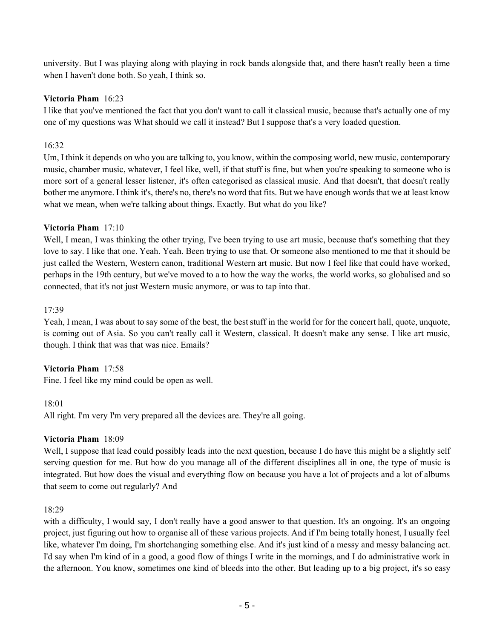university. But I was playing along with playing in rock bands alongside that, and there hasn't really been a time when I haven't done both. So yeah, I think so.

# **Victoria Pham** 16:23

I like that you've mentioned the fact that you don't want to call it classical music, because that's actually one of my one of my questions was What should we call it instead? But I suppose that's a very loaded question.

# 16:32

Um, I think it depends on who you are talking to, you know, within the composing world, new music, contemporary music, chamber music, whatever, I feel like, well, if that stuff is fine, but when you're speaking to someone who is more sort of a general lesser listener, it's often categorised as classical music. And that doesn't, that doesn't really bother me anymore. I think it's, there's no, there's no word that fits. But we have enough words that we at least know what we mean, when we're talking about things. Exactly. But what do you like?

#### **Victoria Pham** 17:10

Well, I mean, I was thinking the other trying, I've been trying to use art music, because that's something that they love to say. I like that one. Yeah. Yeah. Been trying to use that. Or someone also mentioned to me that it should be just called the Western, Western canon, traditional Western art music. But now I feel like that could have worked, perhaps in the 19th century, but we've moved to a to how the way the works, the world works, so globalised and so connected, that it's not just Western music anymore, or was to tap into that.

#### 17:39

Yeah, I mean, I was about to say some of the best, the best stuff in the world for for the concert hall, quote, unquote, is coming out of Asia. So you can't really call it Western, classical. It doesn't make any sense. I like art music, though. I think that was that was nice. Emails?

# **Victoria Pham** 17:58

Fine. I feel like my mind could be open as well.

#### 18:01

All right. I'm very I'm very prepared all the devices are. They're all going.

# **Victoria Pham** 18:09

Well, I suppose that lead could possibly leads into the next question, because I do have this might be a slightly self serving question for me. But how do you manage all of the different disciplines all in one, the type of music is integrated. But how does the visual and everything flow on because you have a lot of projects and a lot of albums that seem to come out regularly? And

#### 18:29

with a difficulty, I would say, I don't really have a good answer to that question. It's an ongoing. It's an ongoing project, just figuring out how to organise all of these various projects. And if I'm being totally honest, I usually feel like, whatever I'm doing, I'm shortchanging something else. And it's just kind of a messy and messy balancing act. I'd say when I'm kind of in a good, a good flow of things I write in the mornings, and I do administrative work in the afternoon. You know, sometimes one kind of bleeds into the other. But leading up to a big project, it's so easy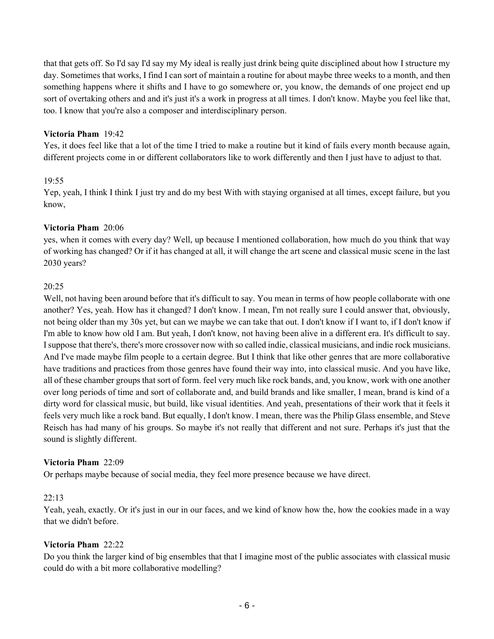that that gets off. So I'd say I'd say my My ideal is really just drink being quite disciplined about how I structure my day. Sometimes that works, I find I can sort of maintain a routine for about maybe three weeks to a month, and then something happens where it shifts and I have to go somewhere or, you know, the demands of one project end up sort of overtaking others and and it's just it's a work in progress at all times. I don't know. Maybe you feel like that, too. I know that you're also a composer and interdisciplinary person.

# **Victoria Pham** 19:42

Yes, it does feel like that a lot of the time I tried to make a routine but it kind of fails every month because again, different projects come in or different collaborators like to work differently and then I just have to adjust to that.

#### 19:55

Yep, yeah, I think I think I just try and do my best With with staying organised at all times, except failure, but you know,

#### **Victoria Pham** 20:06

yes, when it comes with every day? Well, up because I mentioned collaboration, how much do you think that way of working has changed? Or if it has changed at all, it will change the art scene and classical music scene in the last 2030 years?

#### 20:25

Well, not having been around before that it's difficult to say. You mean in terms of how people collaborate with one another? Yes, yeah. How has it changed? I don't know. I mean, I'm not really sure I could answer that, obviously, not being older than my 30s yet, but can we maybe we can take that out. I don't know if I want to, if I don't know if I'm able to know how old I am. But yeah, I don't know, not having been alive in a different era. It's difficult to say. I suppose that there's, there's more crossover now with so called indie, classical musicians, and indie rock musicians. And I've made maybe film people to a certain degree. But I think that like other genres that are more collaborative have traditions and practices from those genres have found their way into, into classical music. And you have like, all of these chamber groups that sort of form. feel very much like rock bands, and, you know, work with one another over long periods of time and sort of collaborate and, and build brands and like smaller, I mean, brand is kind of a dirty word for classical music, but build, like visual identities. And yeah, presentations of their work that it feels it feels very much like a rock band. But equally, I don't know. I mean, there was the Philip Glass ensemble, and Steve Reisch has had many of his groups. So maybe it's not really that different and not sure. Perhaps it's just that the sound is slightly different.

#### **Victoria Pham** 22:09

Or perhaps maybe because of social media, they feel more presence because we have direct.

# 22:13

Yeah, yeah, exactly. Or it's just in our in our faces, and we kind of know how the, how the cookies made in a way that we didn't before.

# **Victoria Pham** 22:22

Do you think the larger kind of big ensembles that that I imagine most of the public associates with classical music could do with a bit more collaborative modelling?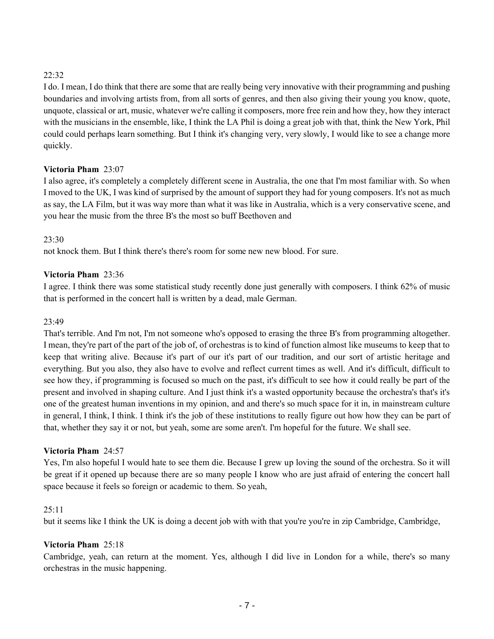# 22:32

I do. I mean, I do think that there are some that are really being very innovative with their programming and pushing boundaries and involving artists from, from all sorts of genres, and then also giving their young you know, quote, unquote, classical or art, music, whatever we're calling it composers, more free rein and how they, how they interact with the musicians in the ensemble, like, I think the LA Phil is doing a great job with that, think the New York, Phil could could perhaps learn something. But I think it's changing very, very slowly, I would like to see a change more quickly.

# **Victoria Pham** 23:07

I also agree, it's completely a completely different scene in Australia, the one that I'm most familiar with. So when I moved to the UK, I was kind of surprised by the amount of support they had for young composers. It's not as much as say, the LA Film, but it was way more than what it was like in Australia, which is a very conservative scene, and you hear the music from the three B's the most so buff Beethoven and

# 23:30

not knock them. But I think there's there's room for some new new blood. For sure.

# **Victoria Pham** 23:36

I agree. I think there was some statistical study recently done just generally with composers. I think 62% of music that is performed in the concert hall is written by a dead, male German.

# 23:49

That's terrible. And I'm not, I'm not someone who's opposed to erasing the three B's from programming altogether. I mean, they're part of the part of the job of, of orchestras is to kind of function almost like museums to keep that to keep that writing alive. Because it's part of our it's part of our tradition, and our sort of artistic heritage and everything. But you also, they also have to evolve and reflect current times as well. And it's difficult, difficult to see how they, if programming is focused so much on the past, it's difficult to see how it could really be part of the present and involved in shaping culture. And I just think it's a wasted opportunity because the orchestra's that's it's one of the greatest human inventions in my opinion, and and there's so much space for it in, in mainstream culture in general, I think, I think. I think it's the job of these institutions to really figure out how how they can be part of that, whether they say it or not, but yeah, some are some aren't. I'm hopeful for the future. We shall see.

#### **Victoria Pham** 24:57

Yes, I'm also hopeful I would hate to see them die. Because I grew up loving the sound of the orchestra. So it will be great if it opened up because there are so many people I know who are just afraid of entering the concert hall space because it feels so foreign or academic to them. So yeah,

#### $25:11$

but it seems like I think the UK is doing a decent job with with that you're you're in zip Cambridge, Cambridge,

# **Victoria Pham** 25:18

Cambridge, yeah, can return at the moment. Yes, although I did live in London for a while, there's so many orchestras in the music happening.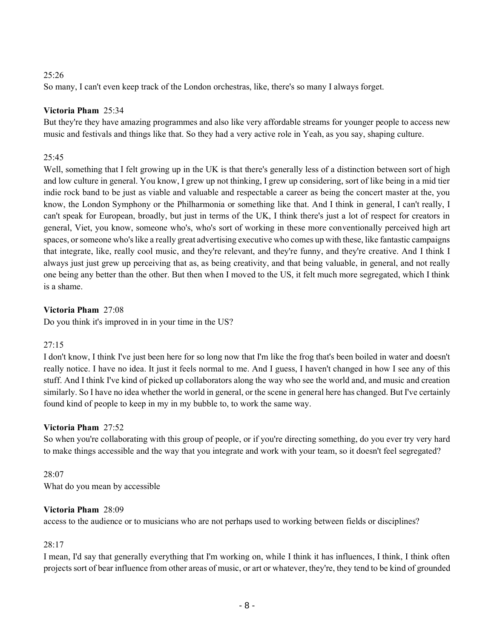# 25:26

So many, I can't even keep track of the London orchestras, like, there's so many I always forget.

# **Victoria Pham** 25:34

But they're they have amazing programmes and also like very affordable streams for younger people to access new music and festivals and things like that. So they had a very active role in Yeah, as you say, shaping culture.

# 25:45

Well, something that I felt growing up in the UK is that there's generally less of a distinction between sort of high and low culture in general. You know, I grew up not thinking, I grew up considering, sort of like being in a mid tier indie rock band to be just as viable and valuable and respectable a career as being the concert master at the, you know, the London Symphony or the Philharmonia or something like that. And I think in general, I can't really, I can't speak for European, broadly, but just in terms of the UK, I think there's just a lot of respect for creators in general, Viet, you know, someone who's, who's sort of working in these more conventionally perceived high art spaces, or someone who's like a really great advertising executive who comes up with these, like fantastic campaigns that integrate, like, really cool music, and they're relevant, and they're funny, and they're creative. And I think I always just just grew up perceiving that as, as being creativity, and that being valuable, in general, and not really one being any better than the other. But then when I moved to the US, it felt much more segregated, which I think is a shame.

# **Victoria Pham** 27:08

Do you think it's improved in in your time in the US?

# 27:15

I don't know, I think I've just been here for so long now that I'm like the frog that's been boiled in water and doesn't really notice. I have no idea. It just it feels normal to me. And I guess, I haven't changed in how I see any of this stuff. And I think I've kind of picked up collaborators along the way who see the world and, and music and creation similarly. So I have no idea whether the world in general, or the scene in general here has changed. But I've certainly found kind of people to keep in my in my bubble to, to work the same way.

# **Victoria Pham** 27:52

So when you're collaborating with this group of people, or if you're directing something, do you ever try very hard to make things accessible and the way that you integrate and work with your team, so it doesn't feel segregated?

# 28:07 What do you mean by accessible

# **Victoria Pham** 28:09

access to the audience or to musicians who are not perhaps used to working between fields or disciplines?

# 28:17

I mean, I'd say that generally everything that I'm working on, while I think it has influences, I think, I think often projects sort of bear influence from other areas of music, or art or whatever, they're, they tend to be kind of grounded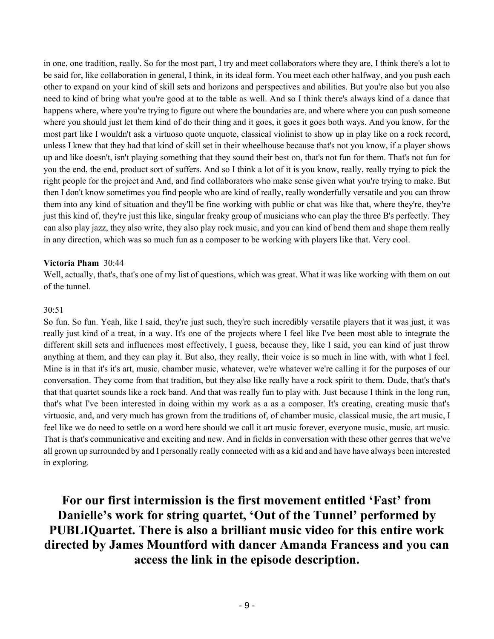in one, one tradition, really. So for the most part, I try and meet collaborators where they are, I think there's a lot to be said for, like collaboration in general, I think, in its ideal form. You meet each other halfway, and you push each other to expand on your kind of skill sets and horizons and perspectives and abilities. But you're also but you also need to kind of bring what you're good at to the table as well. And so I think there's always kind of a dance that happens where, where you're trying to figure out where the boundaries are, and where where you can push someone where you should just let them kind of do their thing and it goes, it goes it goes both ways. And you know, for the most part like I wouldn't ask a virtuoso quote unquote, classical violinist to show up in play like on a rock record, unless I knew that they had that kind of skill set in their wheelhouse because that's not you know, if a player shows up and like doesn't, isn't playing something that they sound their best on, that's not fun for them. That's not fun for you the end, the end, product sort of suffers. And so I think a lot of it is you know, really, really trying to pick the right people for the project and And, and find collaborators who make sense given what you're trying to make. But then I don't know sometimes you find people who are kind of really, really wonderfully versatile and you can throw them into any kind of situation and they'll be fine working with public or chat was like that, where they're, they're just this kind of, they're just this like, singular freaky group of musicians who can play the three B's perfectly. They can also play jazz, they also write, they also play rock music, and you can kind of bend them and shape them really in any direction, which was so much fun as a composer to be working with players like that. Very cool.

#### **Victoria Pham** 30:44

Well, actually, that's, that's one of my list of questions, which was great. What it was like working with them on out of the tunnel.

#### 30:51

So fun. So fun. Yeah, like I said, they're just such, they're such incredibly versatile players that it was just, it was really just kind of a treat, in a way. It's one of the projects where I feel like I've been most able to integrate the different skill sets and influences most effectively, I guess, because they, like I said, you can kind of just throw anything at them, and they can play it. But also, they really, their voice is so much in line with, with what I feel. Mine is in that it's it's art, music, chamber music, whatever, we're whatever we're calling it for the purposes of our conversation. They come from that tradition, but they also like really have a rock spirit to them. Dude, that's that's that that quartet sounds like a rock band. And that was really fun to play with. Just because I think in the long run, that's what I've been interested in doing within my work as a as a composer. It's creating, creating music that's virtuosic, and, and very much has grown from the traditions of, of chamber music, classical music, the art music, I feel like we do need to settle on a word here should we call it art music forever, everyone music, music, art music. That is that's communicative and exciting and new. And in fields in conversation with these other genres that we've all grown up surrounded by and I personally really connected with as a kid and and have have always been interested in exploring.

**For our first intermission is the first movement entitled 'Fast' from Danielle's work for string quartet, 'Out of the Tunnel' performed by PUBLIQuartet. There is also a brilliant music video for this entire work directed by James Mountford with dancer Amanda Francess and you can access the link in the episode description.**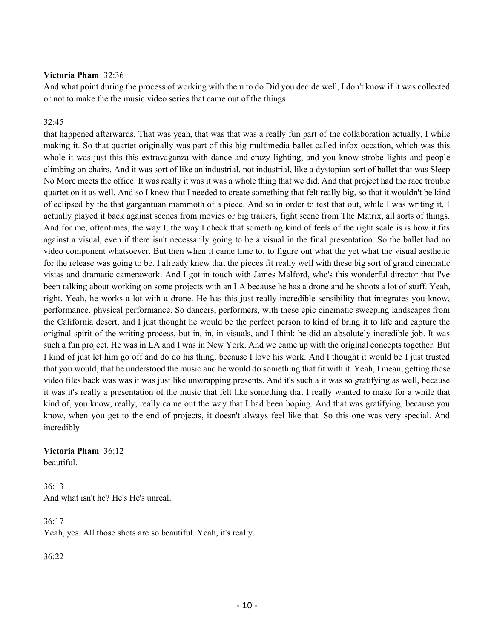#### **Victoria Pham** 32:36

And what point during the process of working with them to do Did you decide well, I don't know if it was collected or not to make the the music video series that came out of the things

#### 32:45

that happened afterwards. That was yeah, that was that was a really fun part of the collaboration actually, I while making it. So that quartet originally was part of this big multimedia ballet called infox occation, which was this whole it was just this this extravaganza with dance and crazy lighting, and you know strobe lights and people climbing on chairs. And it was sort of like an industrial, not industrial, like a dystopian sort of ballet that was Sleep No More meets the office. It was really it was it was a whole thing that we did. And that project had the race trouble quartet on it as well. And so I knew that I needed to create something that felt really big, so that it wouldn't be kind of eclipsed by the that gargantuan mammoth of a piece. And so in order to test that out, while I was writing it, I actually played it back against scenes from movies or big trailers, fight scene from The Matrix, all sorts of things. And for me, oftentimes, the way I, the way I check that something kind of feels of the right scale is is how it fits against a visual, even if there isn't necessarily going to be a visual in the final presentation. So the ballet had no video component whatsoever. But then when it came time to, to figure out what the yet what the visual aesthetic for the release was going to be. I already knew that the pieces fit really well with these big sort of grand cinematic vistas and dramatic camerawork. And I got in touch with James Malford, who's this wonderful director that I've been talking about working on some projects with an LA because he has a drone and he shoots a lot of stuff. Yeah, right. Yeah, he works a lot with a drone. He has this just really incredible sensibility that integrates you know, performance. physical performance. So dancers, performers, with these epic cinematic sweeping landscapes from the California desert, and I just thought he would be the perfect person to kind of bring it to life and capture the original spirit of the writing process, but in, in, in visuals, and I think he did an absolutely incredible job. It was such a fun project. He was in LA and I was in New York. And we came up with the original concepts together. But I kind of just let him go off and do do his thing, because I love his work. And I thought it would be I just trusted that you would, that he understood the music and he would do something that fit with it. Yeah, I mean, getting those video files back was was it was just like unwrapping presents. And it's such a it was so gratifying as well, because it was it's really a presentation of the music that felt like something that I really wanted to make for a while that kind of, you know, really, really came out the way that I had been hoping. And that was gratifying, because you know, when you get to the end of projects, it doesn't always feel like that. So this one was very special. And incredibly

#### **Victoria Pham** 36:12 beautiful.

36:13 And what isn't he? He's He's unreal.

 $36:17$ Yeah, yes. All those shots are so beautiful. Yeah, it's really.

36:22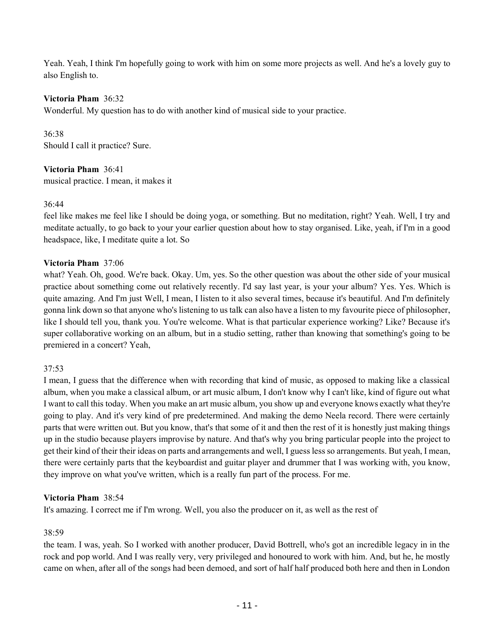Yeah. Yeah, I think I'm hopefully going to work with him on some more projects as well. And he's a lovely guy to also English to.

#### **Victoria Pham** 36:32

Wonderful. My question has to do with another kind of musical side to your practice.

36:38 Should I call it practice? Sure.

**Victoria Pham** 36:41 musical practice. I mean, it makes it

#### 36:44

feel like makes me feel like I should be doing yoga, or something. But no meditation, right? Yeah. Well, I try and meditate actually, to go back to your your earlier question about how to stay organised. Like, yeah, if I'm in a good headspace, like, I meditate quite a lot. So

# **Victoria Pham** 37:06

what? Yeah. Oh, good. We're back. Okay. Um, yes. So the other question was about the other side of your musical practice about something come out relatively recently. I'd say last year, is your your album? Yes. Yes. Which is quite amazing. And I'm just Well, I mean, I listen to it also several times, because it's beautiful. And I'm definitely gonna link down so that anyone who's listening to us talk can also have a listen to my favourite piece of philosopher, like I should tell you, thank you. You're welcome. What is that particular experience working? Like? Because it's super collaborative working on an album, but in a studio setting, rather than knowing that something's going to be premiered in a concert? Yeah,

#### 37:53

I mean, I guess that the difference when with recording that kind of music, as opposed to making like a classical album, when you make a classical album, or art music album, I don't know why I can't like, kind of figure out what I want to call this today. When you make an art music album, you show up and everyone knows exactly what they're going to play. And it's very kind of pre predetermined. And making the demo Neela record. There were certainly parts that were written out. But you know, that's that some of it and then the rest of it is honestly just making things up in the studio because players improvise by nature. And that's why you bring particular people into the project to get their kind of their their ideas on parts and arrangements and well, I guess less so arrangements. But yeah, I mean, there were certainly parts that the keyboardist and guitar player and drummer that I was working with, you know, they improve on what you've written, which is a really fun part of the process. For me.

#### **Victoria Pham** 38:54

It's amazing. I correct me if I'm wrong. Well, you also the producer on it, as well as the rest of

#### 38:59

the team. I was, yeah. So I worked with another producer, David Bottrell, who's got an incredible legacy in in the rock and pop world. And I was really very, very privileged and honoured to work with him. And, but he, he mostly came on when, after all of the songs had been demoed, and sort of half half produced both here and then in London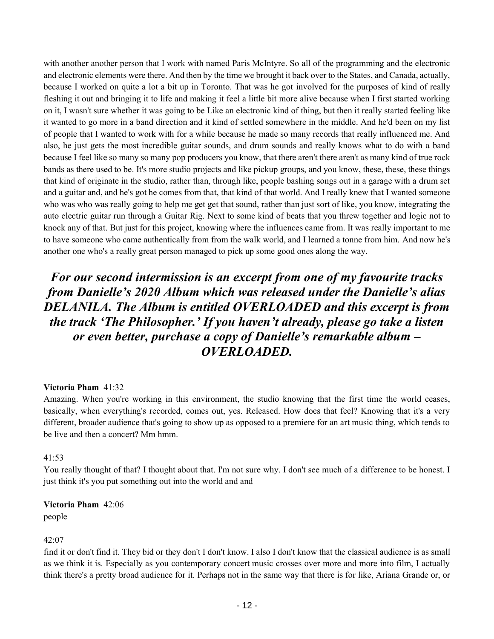with another another person that I work with named Paris McIntyre. So all of the programming and the electronic and electronic elements were there. And then by the time we brought it back over to the States, and Canada, actually, because I worked on quite a lot a bit up in Toronto. That was he got involved for the purposes of kind of really fleshing it out and bringing it to life and making it feel a little bit more alive because when I first started working on it, I wasn't sure whether it was going to be Like an electronic kind of thing, but then it really started feeling like it wanted to go more in a band direction and it kind of settled somewhere in the middle. And he'd been on my list of people that I wanted to work with for a while because he made so many records that really influenced me. And also, he just gets the most incredible guitar sounds, and drum sounds and really knows what to do with a band because I feel like so many so many pop producers you know, that there aren't there aren't as many kind of true rock bands as there used to be. It's more studio projects and like pickup groups, and you know, these, these, these things that kind of originate in the studio, rather than, through like, people bashing songs out in a garage with a drum set and a guitar and, and he's got he comes from that, that kind of that world. And I really knew that I wanted someone who was who was really going to help me get get that sound, rather than just sort of like, you know, integrating the auto electric guitar run through a Guitar Rig. Next to some kind of beats that you threw together and logic not to knock any of that. But just for this project, knowing where the influences came from. It was really important to me to have someone who came authentically from from the walk world, and I learned a tonne from him. And now he's another one who's a really great person managed to pick up some good ones along the way.

# *For our second intermission is an excerpt from one of my favourite tracks from Danielle's 2020 Album which was released under the Danielle's alias DELANILA. The Album is entitled OVERLOADED and this excerpt is from the track 'The Philosopher.' If you haven't already, please go take a listen or even better, purchase a copy of Danielle's remarkable album – OVERLOADED.*

#### **Victoria Pham** 41:32

Amazing. When you're working in this environment, the studio knowing that the first time the world ceases, basically, when everything's recorded, comes out, yes. Released. How does that feel? Knowing that it's a very different, broader audience that's going to show up as opposed to a premiere for an art music thing, which tends to be live and then a concert? Mm hmm.

# 41:53

You really thought of that? I thought about that. I'm not sure why. I don't see much of a difference to be honest. I just think it's you put something out into the world and and

#### **Victoria Pham** 42:06 people

# $42:07$

find it or don't find it. They bid or they don't I don't know. I also I don't know that the classical audience is as small as we think it is. Especially as you contemporary concert music crosses over more and more into film, I actually think there's a pretty broad audience for it. Perhaps not in the same way that there is for like, Ariana Grande or, or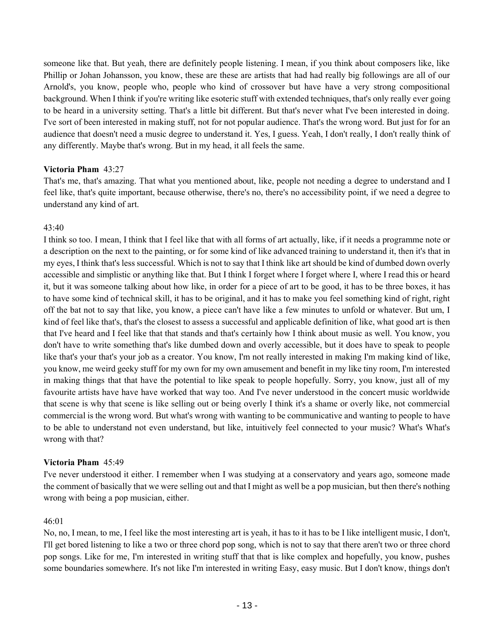someone like that. But yeah, there are definitely people listening. I mean, if you think about composers like, like Phillip or Johan Johansson, you know, these are these are artists that had had really big followings are all of our Arnold's, you know, people who, people who kind of crossover but have have a very strong compositional background. When I think if you're writing like esoteric stuff with extended techniques, that's only really ever going to be heard in a university setting. That's a little bit different. But that's never what I've been interested in doing. I've sort of been interested in making stuff, not for not popular audience. That's the wrong word. But just for for an audience that doesn't need a music degree to understand it. Yes, I guess. Yeah, I don't really, I don't really think of any differently. Maybe that's wrong. But in my head, it all feels the same.

#### **Victoria Pham** 43:27

That's me, that's amazing. That what you mentioned about, like, people not needing a degree to understand and I feel like, that's quite important, because otherwise, there's no, there's no accessibility point, if we need a degree to understand any kind of art.

#### 43:40

I think so too. I mean, I think that I feel like that with all forms of art actually, like, if it needs a programme note or a description on the next to the painting, or for some kind of like advanced training to understand it, then it's that in my eyes, I think that's less successful. Which is not to say that I think like art should be kind of dumbed down overly accessible and simplistic or anything like that. But I think I forget where I forget where I, where I read this or heard it, but it was someone talking about how like, in order for a piece of art to be good, it has to be three boxes, it has to have some kind of technical skill, it has to be original, and it has to make you feel something kind of right, right off the bat not to say that like, you know, a piece can't have like a few minutes to unfold or whatever. But um, I kind of feel like that's, that's the closest to assess a successful and applicable definition of like, what good art is then that I've heard and I feel like that that stands and that's certainly how I think about music as well. You know, you don't have to write something that's like dumbed down and overly accessible, but it does have to speak to people like that's your that's your job as a creator. You know, I'm not really interested in making I'm making kind of like, you know, me weird geeky stuff for my own for my own amusement and benefit in my like tiny room, I'm interested in making things that that have the potential to like speak to people hopefully. Sorry, you know, just all of my favourite artists have have have worked that way too. And I've never understood in the concert music worldwide that scene is why that scene is like selling out or being overly I think it's a shame or overly like, not commercial commercial is the wrong word. But what's wrong with wanting to be communicative and wanting to people to have to be able to understand not even understand, but like, intuitively feel connected to your music? What's What's wrong with that?

#### **Victoria Pham** 45:49

I've never understood it either. I remember when I was studying at a conservatory and years ago, someone made the comment of basically that we were selling out and that I might as well be a pop musician, but then there's nothing wrong with being a pop musician, either.

#### 46:01

No, no, I mean, to me, I feel like the most interesting art is yeah, it has to it has to be I like intelligent music, I don't, I'll get bored listening to like a two or three chord pop song, which is not to say that there aren't two or three chord pop songs. Like for me, I'm interested in writing stuff that that is like complex and hopefully, you know, pushes some boundaries somewhere. It's not like I'm interested in writing Easy, easy music. But I don't know, things don't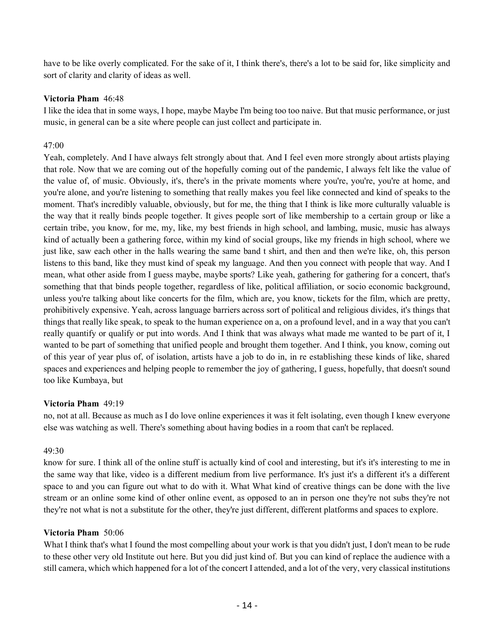have to be like overly complicated. For the sake of it, I think there's, there's a lot to be said for, like simplicity and sort of clarity and clarity of ideas as well.

#### **Victoria Pham** 46:48

I like the idea that in some ways, I hope, maybe Maybe I'm being too too naive. But that music performance, or just music, in general can be a site where people can just collect and participate in.

# $47:00$

Yeah, completely. And I have always felt strongly about that. And I feel even more strongly about artists playing that role. Now that we are coming out of the hopefully coming out of the pandemic, I always felt like the value of the value of, of music. Obviously, it's, there's in the private moments where you're, you're, you're at home, and you're alone, and you're listening to something that really makes you feel like connected and kind of speaks to the moment. That's incredibly valuable, obviously, but for me, the thing that I think is like more culturally valuable is the way that it really binds people together. It gives people sort of like membership to a certain group or like a certain tribe, you know, for me, my, like, my best friends in high school, and lambing, music, music has always kind of actually been a gathering force, within my kind of social groups, like my friends in high school, where we just like, saw each other in the halls wearing the same band t shirt, and then and then we're like, oh, this person listens to this band, like they must kind of speak my language. And then you connect with people that way. And I mean, what other aside from I guess maybe, maybe sports? Like yeah, gathering for gathering for a concert, that's something that that binds people together, regardless of like, political affiliation, or socio economic background, unless you're talking about like concerts for the film, which are, you know, tickets for the film, which are pretty, prohibitively expensive. Yeah, across language barriers across sort of political and religious divides, it's things that things that really like speak, to speak to the human experience on a, on a profound level, and in a way that you can't really quantify or qualify or put into words. And I think that was always what made me wanted to be part of it, I wanted to be part of something that unified people and brought them together. And I think, you know, coming out of this year of year plus of, of isolation, artists have a job to do in, in re establishing these kinds of like, shared spaces and experiences and helping people to remember the joy of gathering, I guess, hopefully, that doesn't sound too like Kumbaya, but

# **Victoria Pham** 49:19

no, not at all. Because as much as I do love online experiences it was it felt isolating, even though I knew everyone else was watching as well. There's something about having bodies in a room that can't be replaced.

# 49:30

know for sure. I think all of the online stuff is actually kind of cool and interesting, but it's it's interesting to me in the same way that like, video is a different medium from live performance. It's just it's a different it's a different space to and you can figure out what to do with it. What What kind of creative things can be done with the live stream or an online some kind of other online event, as opposed to an in person one they're not subs they're not they're not what is not a substitute for the other, they're just different, different platforms and spaces to explore.

# **Victoria Pham** 50:06

What I think that's what I found the most compelling about your work is that you didn't just, I don't mean to be rude to these other very old Institute out here. But you did just kind of. But you can kind of replace the audience with a still camera, which which happened for a lot of the concert I attended, and a lot of the very, very classical institutions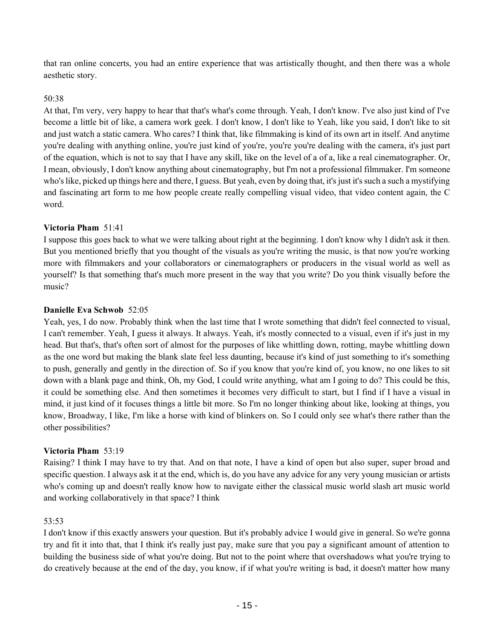that ran online concerts, you had an entire experience that was artistically thought, and then there was a whole aesthetic story.

#### 50:38

At that, I'm very, very happy to hear that that's what's come through. Yeah, I don't know. I've also just kind of I've become a little bit of like, a camera work geek. I don't know, I don't like to Yeah, like you said, I don't like to sit and just watch a static camera. Who cares? I think that, like filmmaking is kind of its own art in itself. And anytime you're dealing with anything online, you're just kind of you're, you're you're dealing with the camera, it's just part of the equation, which is not to say that I have any skill, like on the level of a of a, like a real cinematographer. Or, I mean, obviously, I don't know anything about cinematography, but I'm not a professional filmmaker. I'm someone who's like, picked up things here and there, I guess. But yeah, even by doing that, it's just it's such a such a mystifying and fascinating art form to me how people create really compelling visual video, that video content again, the C word.

#### **Victoria Pham** 51:41

I suppose this goes back to what we were talking about right at the beginning. I don't know why I didn't ask it then. But you mentioned briefly that you thought of the visuals as you're writing the music, is that now you're working more with filmmakers and your collaborators or cinematographers or producers in the visual world as well as yourself? Is that something that's much more present in the way that you write? Do you think visually before the music?

#### **Danielle Eva Schwob** 52:05

Yeah, yes, I do now. Probably think when the last time that I wrote something that didn't feel connected to visual, I can't remember. Yeah, I guess it always. It always. Yeah, it's mostly connected to a visual, even if it's just in my head. But that's, that's often sort of almost for the purposes of like whittling down, rotting, maybe whittling down as the one word but making the blank slate feel less daunting, because it's kind of just something to it's something to push, generally and gently in the direction of. So if you know that you're kind of, you know, no one likes to sit down with a blank page and think, Oh, my God, I could write anything, what am I going to do? This could be this, it could be something else. And then sometimes it becomes very difficult to start, but I find if I have a visual in mind, it just kind of it focuses things a little bit more. So I'm no longer thinking about like, looking at things, you know, Broadway, I like, I'm like a horse with kind of blinkers on. So I could only see what's there rather than the other possibilities?

# **Victoria Pham** 53:19

Raising? I think I may have to try that. And on that note, I have a kind of open but also super, super broad and specific question. I always ask it at the end, which is, do you have any advice for any very young musician or artists who's coming up and doesn't really know how to navigate either the classical music world slash art music world and working collaboratively in that space? I think

# 53:53

I don't know if this exactly answers your question. But it's probably advice I would give in general. So we're gonna try and fit it into that, that I think it's really just pay, make sure that you pay a significant amount of attention to building the business side of what you're doing. But not to the point where that overshadows what you're trying to do creatively because at the end of the day, you know, if if what you're writing is bad, it doesn't matter how many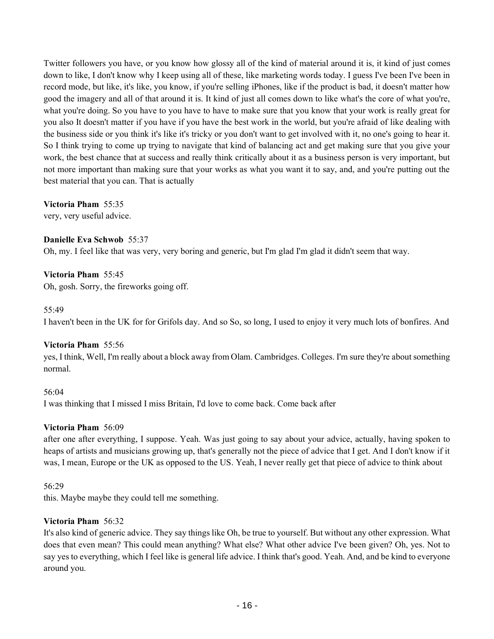Twitter followers you have, or you know how glossy all of the kind of material around it is, it kind of just comes down to like, I don't know why I keep using all of these, like marketing words today. I guess I've been I've been in record mode, but like, it's like, you know, if you're selling iPhones, like if the product is bad, it doesn't matter how good the imagery and all of that around it is. It kind of just all comes down to like what's the core of what you're, what you're doing. So you have to you have to have to make sure that you know that your work is really great for you also It doesn't matter if you have if you have the best work in the world, but you're afraid of like dealing with the business side or you think it's like it's tricky or you don't want to get involved with it, no one's going to hear it. So I think trying to come up trying to navigate that kind of balancing act and get making sure that you give your work, the best chance that at success and really think critically about it as a business person is very important, but not more important than making sure that your works as what you want it to say, and, and you're putting out the best material that you can. That is actually

**Victoria Pham** 55:35

very, very useful advice.

# **Danielle Eva Schwob** 55:37

Oh, my. I feel like that was very, very boring and generic, but I'm glad I'm glad it didn't seem that way.

# **Victoria Pham** 55:45

Oh, gosh. Sorry, the fireworks going off.

#### 55:49

I haven't been in the UK for for Grifols day. And so So, so long, I used to enjoy it very much lots of bonfires. And

# **Victoria Pham** 55:56

yes, I think, Well, I'm really about a block away from Olam. Cambridges. Colleges. I'm sure they're about something normal.

56:04 I was thinking that I missed I miss Britain, I'd love to come back. Come back after

# **Victoria Pham** 56:09

after one after everything, I suppose. Yeah. Was just going to say about your advice, actually, having spoken to heaps of artists and musicians growing up, that's generally not the piece of advice that I get. And I don't know if it was, I mean, Europe or the UK as opposed to the US. Yeah, I never really get that piece of advice to think about

# 56:29

this. Maybe maybe they could tell me something.

# **Victoria Pham** 56:32

It's also kind of generic advice. They say things like Oh, be true to yourself. But without any other expression. What does that even mean? This could mean anything? What else? What other advice I've been given? Oh, yes. Not to say yes to everything, which I feel like is general life advice. I think that's good. Yeah. And, and be kind to everyone around you.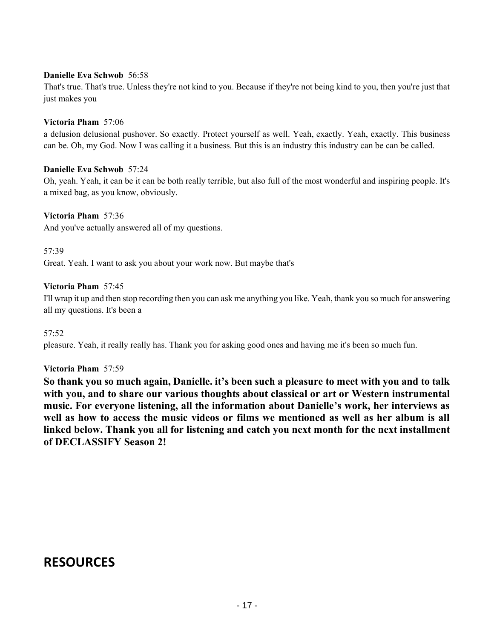# **Danielle Eva Schwob** 56:58

That's true. That's true. Unless they're not kind to you. Because if they're not being kind to you, then you're just that just makes you

#### **Victoria Pham** 57:06

a delusion delusional pushover. So exactly. Protect yourself as well. Yeah, exactly. Yeah, exactly. This business can be. Oh, my God. Now I was calling it a business. But this is an industry this industry can be can be called.

#### **Danielle Eva Schwob** 57:24

Oh, yeah. Yeah, it can be it can be both really terrible, but also full of the most wonderful and inspiring people. It's a mixed bag, as you know, obviously.

#### **Victoria Pham** 57:36

And you've actually answered all of my questions.

57:39 Great. Yeah. I want to ask you about your work now. But maybe that's

#### **Victoria Pham** 57:45

I'll wrap it up and then stop recording then you can ask me anything you like. Yeah, thank you so much for answering all my questions. It's been a

#### 57:52

pleasure. Yeah, it really really has. Thank you for asking good ones and having me it's been so much fun.

#### **Victoria Pham** 57:59

**So thank you so much again, Danielle. it's been such a pleasure to meet with you and to talk with you, and to share our various thoughts about classical or art or Western instrumental music. For everyone listening, all the information about Danielle's work, her interviews as well as how to access the music videos or films we mentioned as well as her album is all linked below. Thank you all for listening and catch you next month for the next installment of DECLASSIFY Season 2!** 

# **RESOURCES**